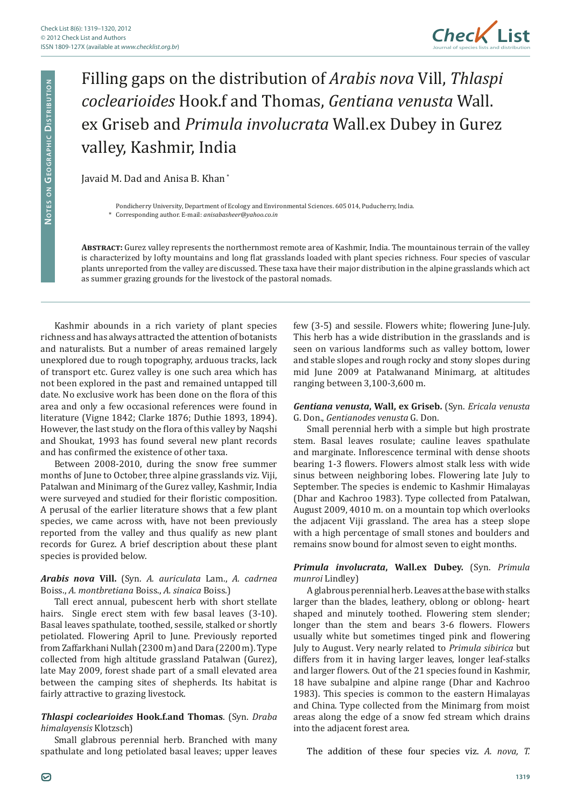

# Filling gaps on the distribution of *Arabis nova* Vill, *Thlaspi coclearioides* Hook.f and Thomas, *Gentiana venusta* Wall. ex Griseb and *Primula involucrata* Wall.ex Dubey in Gurez valley, Kashmir, India

Javaid M. Dad and Anisa B. Khan \*

Pondicherry University, Department of Ecology and Environmental Sciences. 605 014, Puducherry, India.

\* Corresponding author. E-mail: *anisabasheer@yahoo.co.in*

**Abstract:** Gurez valley represents the northernmost remote area of Kashmir, India. The mountainous terrain of the valley is characterized by lofty mountains and long flat grasslands loaded with plant species richness. Four species of vascular plants unreported from the valley are discussed. These taxa have their major distribution in the alpine grasslands which act as summer grazing grounds for the livestock of the pastoral nomads.

Kashmir abounds in a rich variety of plant species richness and has always attracted the attention of botanists and naturalists. But a number of areas remained largely unexplored due to rough topography, arduous tracks, lack of transport etc. Gurez valley is one such area which has not been explored in the past and remained untapped till date. No exclusive work has been done on the flora of this area and only a few occasional references were found in literature (Vigne 1842; Clarke 1876; Duthie 1893, 1894). However, the last study on the flora of this valley by Naqshi and Shoukat, 1993 has found several new plant records and has confirmed the existence of other taxa.

Between 2008-2010, during the snow free summer months of June to October, three alpine grasslands viz. Viji, Patalwan and Minimarg of the Gurez valley, Kashmir, India were surveyed and studied for their floristic composition. A perusal of the earlier literature shows that a few plant species, we came across with, have not been previously reported from the valley and thus qualify as new plant records for Gurez. A brief description about these plant species is provided below.

# *Arabis nova* **Vill.** (Syn. *A. auriculata* Lam., *A. cadrnea*  Boiss., *A. montbretiana* Boiss., *A. sinaica* Boiss.)

Tall erect annual, pubescent herb with short stellate hairs. Single erect stem with few basal leaves (3-10). Basal leaves spathulate, toothed, sessile, stalked or shortly petiolated. Flowering April to June. Previously reported from Zaffarkhani Nullah (2300 m) and Dara (2200 m). Type collected from high altitude grassland Patalwan (Gurez), late May 2009, forest shade part of a small elevated area between the camping sites of shepherds. Its habitat is fairly attractive to grazing livestock.

# *Thlaspi coclearioides* **Hook.f.and Thomas**. (Syn. *Draba himalayensis* Klotzsch)

Small glabrous perennial herb. Branched with many spathulate and long petiolated basal leaves; upper leaves few (3-5) and sessile. Flowers white; flowering June-July. This herb has a wide distribution in the grasslands and is seen on various landforms such as valley bottom, lower and stable slopes and rough rocky and stony slopes during mid June 2009 at Patalwanand Minimarg, at altitudes ranging between 3,100-3,600 m.

### *Gentiana venusta***, Wall, ex Griseb.** (Syn. *Ericala venusta* G. Don., *Gentianodes venusta* G. Don.

Small perennial herb with a simple but high prostrate stem. Basal leaves rosulate; cauline leaves spathulate and marginate. Inflorescence terminal with dense shoots bearing 1-3 flowers. Flowers almost stalk less with wide sinus between neighboring lobes. Flowering late July to September. The species is endemic to Kashmir Himalayas (Dhar and Kachroo 1983). Type collected from Patalwan, August 2009, 4010 m. on a mountain top which overlooks the adjacent Viji grassland. The area has a steep slope with a high percentage of small stones and boulders and remains snow bound for almost seven to eight months.

# *Primula involucrata***, Wall.ex Dubey.** (Syn. *Primula munroi* Lindley)

A glabrous perennial herb. Leaves at the base with stalks larger than the blades, leathery, oblong or oblong- heart shaped and minutely toothed. Flowering stem slender; longer than the stem and bears 3-6 flowers. Flowers usually white but sometimes tinged pink and flowering July to August. Very nearly related to *Primula sibirica* but differs from it in having larger leaves, longer leaf-stalks and larger flowers. Out of the 21 species found in Kashmir, 18 have subalpine and alpine range (Dhar and Kachroo 1983). This species is common to the eastern Himalayas and China. Type collected from the Minimarg from moist areas along the edge of a snow fed stream which drains into the adjacent forest area.

The addition of these four species viz. *A. nova, T.*